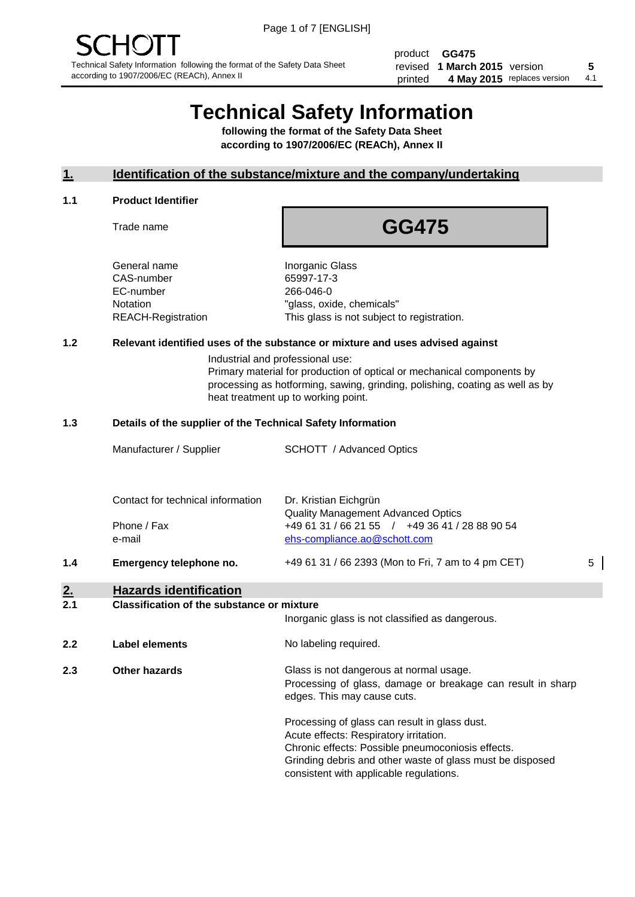product **GG475** revised **5 1 March 2015** version printed 4 May 2015 replaces version 4.1

# **Technical Safety Information**

**following the format of the Safety Data Sheet according to 1907/2006/EC (REACh), Annex II**

#### **1. Identification of the substance/mixture and the company/undertaking**

#### **1.1 Product Identifier**

Trade name

## **GG475**

General name **Inorganic Glass** CAS-number 65997-17-3 EC-number 266-046-0

Notation "glass, oxide, chemicals" REACH-Registration This glass is not subject to registration.

#### **1.2 Relevant identified uses of the substance or mixture and uses advised against**

Industrial and professional use: Primary material for production of optical or mechanical components by processing as hotforming, sawing, grinding, polishing, coating as well as by heat treatment up to working point.

#### **1.3 Details of the supplier of the Technical Safety Information**

| 1.4 | Emergency telephone no.           | +49 61 31 / 66 2393 (Mon to Fri, 7 am to 4 pm CET)                                          | 5 |
|-----|-----------------------------------|---------------------------------------------------------------------------------------------|---|
|     | e-mail                            | ehs-compliance.ao@schott.com                                                                |   |
|     | Phone / Fax                       | <b>Quality Management Advanced Optics</b><br>+49 61 31 / 66 21 55 / +49 36 41 / 28 88 90 54 |   |
|     | Contact for technical information | Dr. Kristian Eichgrün                                                                       |   |
|     | Manufacturer / Supplier           | <b>SCHOTT</b> / Advanced Optics                                                             |   |
|     |                                   |                                                                                             |   |

### **2. Hazards identification**

#### **2.1 Classification of the substance or mixture**

|     |                      | Inorganic glass is not classified as dangerous.                                                                                                                                                                                                      |
|-----|----------------------|------------------------------------------------------------------------------------------------------------------------------------------------------------------------------------------------------------------------------------------------------|
| 2.2 | Label elements       | No labeling required.                                                                                                                                                                                                                                |
| 2.3 | <b>Other hazards</b> | Glass is not dangerous at normal usage.<br>Processing of glass, damage or breakage can result in sharp<br>edges. This may cause cuts.                                                                                                                |
|     |                      | Processing of glass can result in glass dust.<br>Acute effects: Respiratory irritation.<br>Chronic effects: Possible pneumoconiosis effects.<br>Grinding debris and other waste of glass must be disposed<br>consistent with applicable regulations. |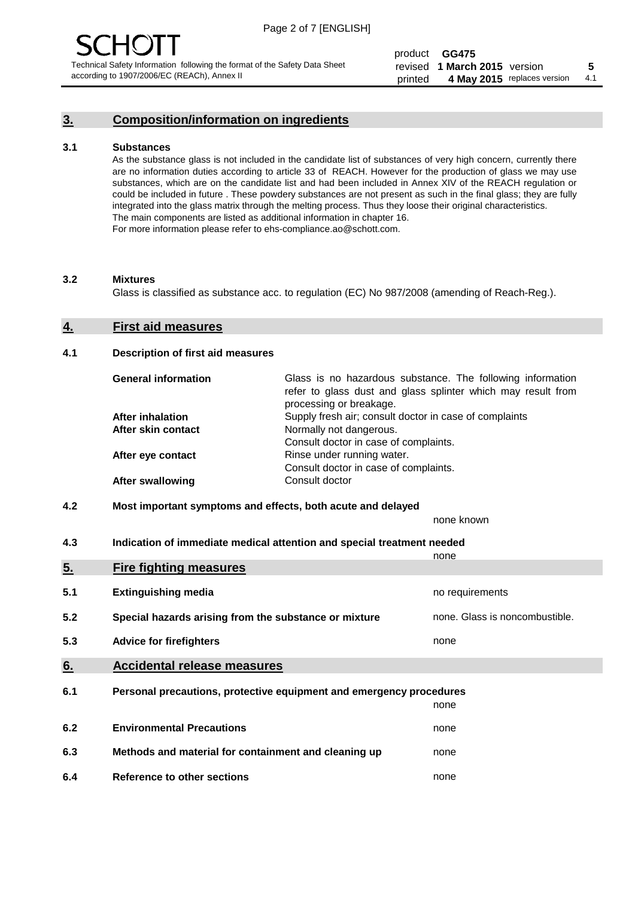#### **3. Composition/information on ingredients**

#### **3.1 Substances**

As the substance glass is not included in the candidate list of substances of very high concern, currently there are no information duties according to article 33 of REACH. However for the production of glass we may use substances, which are on the candidate list and had been included in Annex XIV of the REACH regulation or could be included in future . These powdery substances are not present as such in the final glass; they are fully integrated into the glass matrix through the melting process. Thus they loose their original characteristics. The main components are listed as additional information in chapter 16. For more information please refer to ehs-compliance.ao@schott.com.

#### **3.2 Mixtures**

Glass is classified as substance acc. to regulation (EC) No 987/2008 (amending of Reach-Reg.).

#### **4. First aid measures**

#### **4.1 Description of first aid measures**

| <b>General information</b> | Glass is no hazardous substance. The following information<br>refer to glass dust and glass splinter which may result from<br>processing or breakage. |
|----------------------------|-------------------------------------------------------------------------------------------------------------------------------------------------------|
| <b>After inhalation</b>    | Supply fresh air; consult doctor in case of complaints                                                                                                |
| After skin contact         | Normally not dangerous.                                                                                                                               |
|                            | Consult doctor in case of complaints.                                                                                                                 |
| After eye contact          | Rinse under running water.                                                                                                                            |
|                            | Consult doctor in case of complaints.                                                                                                                 |
| <b>After swallowing</b>    | Consult doctor                                                                                                                                        |

#### **4.2 Most important symptoms and effects, both acute and delayed**

none known

**4.3 Indication of immediate medical attention and special treatment needed** 

|     |                                                                     | none                           |
|-----|---------------------------------------------------------------------|--------------------------------|
| 5.  | <b>Fire fighting measures</b>                                       |                                |
| 5.1 | <b>Extinguishing media</b>                                          | no requirements                |
| 5.2 | Special hazards arising from the substance or mixture               | none. Glass is noncombustible. |
| 5.3 | <b>Advice for firefighters</b>                                      | none                           |
| 6.  | <b>Accidental release measures</b>                                  |                                |
| 6.1 | Personal precautions, protective equipment and emergency procedures |                                |
|     |                                                                     | none                           |
| 6.2 | <b>Environmental Precautions</b>                                    | none                           |
| 6.3 | Methods and material for containment and cleaning up                | none                           |
| 6.4 | Reference to other sections                                         | none                           |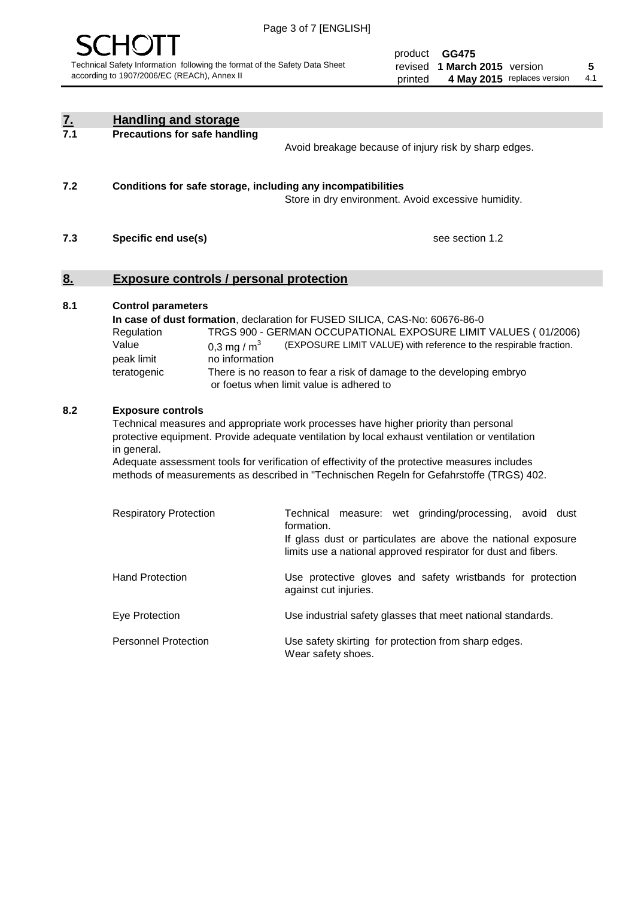

product **GG475** revised **5 1 March 2015** version printed 4 May 2015 replaces version 4.1

| <u>7.</u> | <b>Handling and storage</b>                                                                                                                                                                                                                                                                                                                                                                                                    |                                                                                                                                                                                                                                                                                                                                        |
|-----------|--------------------------------------------------------------------------------------------------------------------------------------------------------------------------------------------------------------------------------------------------------------------------------------------------------------------------------------------------------------------------------------------------------------------------------|----------------------------------------------------------------------------------------------------------------------------------------------------------------------------------------------------------------------------------------------------------------------------------------------------------------------------------------|
| 7.1       | <b>Precautions for safe handling</b>                                                                                                                                                                                                                                                                                                                                                                                           | Avoid breakage because of injury risk by sharp edges.                                                                                                                                                                                                                                                                                  |
| 7.2       | Conditions for safe storage, including any incompatibilities                                                                                                                                                                                                                                                                                                                                                                   | Store in dry environment. Avoid excessive humidity.                                                                                                                                                                                                                                                                                    |
| 7.3       | Specific end use(s)                                                                                                                                                                                                                                                                                                                                                                                                            | see section 1.2                                                                                                                                                                                                                                                                                                                        |
| <u>8.</u> | <b>Exposure controls / personal protection</b>                                                                                                                                                                                                                                                                                                                                                                                 |                                                                                                                                                                                                                                                                                                                                        |
| 8.1       | <b>Control parameters</b><br>Regulation<br>Value<br>0,3 mg / $m3$<br>peak limit<br>no information<br>teratogenic                                                                                                                                                                                                                                                                                                               | In case of dust formation, declaration for FUSED SILICA, CAS-No: 60676-86-0<br>TRGS 900 - GERMAN OCCUPATIONAL EXPOSURE LIMIT VALUES (01/2006)<br>(EXPOSURE LIMIT VALUE) with reference to the respirable fraction.<br>There is no reason to fear a risk of damage to the developing embryo<br>or foetus when limit value is adhered to |
| 8.2       | <b>Exposure controls</b><br>Technical measures and appropriate work processes have higher priority than personal<br>protective equipment. Provide adequate ventilation by local exhaust ventilation or ventilation<br>in general.<br>Adequate assessment tools for verification of effectivity of the protective measures includes<br>methods of measurements as described in "Technischen Regeln for Gefahrstoffe (TRGS) 402. |                                                                                                                                                                                                                                                                                                                                        |
|           | <b>Respiratory Protection</b>                                                                                                                                                                                                                                                                                                                                                                                                  | Technical measure: wet grinding/processing, avoid dust<br>formation.<br>If glass dust or particulates are above the national exposure<br>limits use a national approved respirator for dust and fibers.                                                                                                                                |
|           | <b>Hand Protection</b>                                                                                                                                                                                                                                                                                                                                                                                                         | Use protective gloves and safety wristbands for protection<br>against cut injuries.                                                                                                                                                                                                                                                    |
|           | Eye Protection                                                                                                                                                                                                                                                                                                                                                                                                                 | Use industrial safety glasses that meet national standards.                                                                                                                                                                                                                                                                            |
|           | <b>Personnel Protection</b>                                                                                                                                                                                                                                                                                                                                                                                                    | Use safety skirting for protection from sharp edges.<br>Wear safety shoes.                                                                                                                                                                                                                                                             |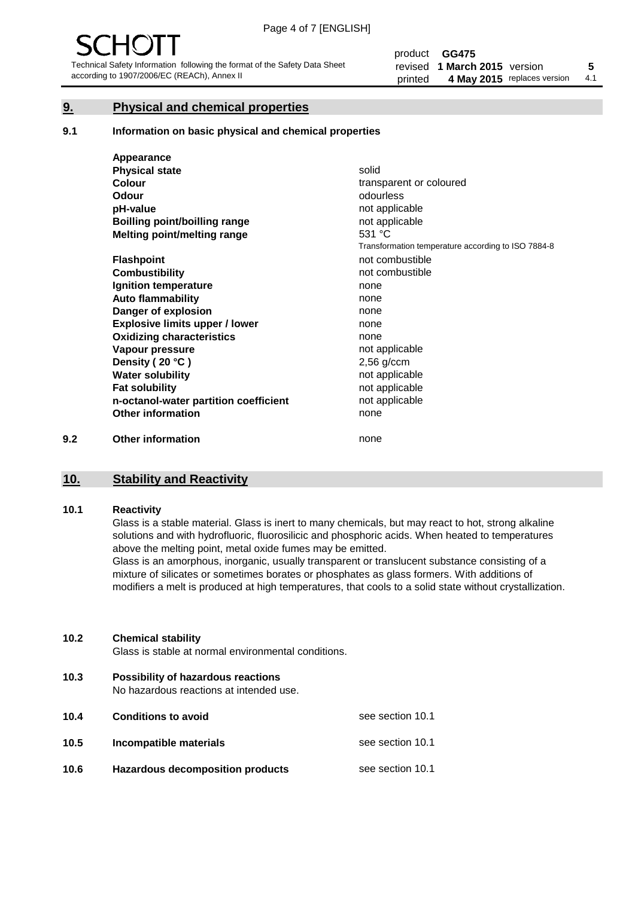#### **9. Physical and chemical properties**

#### **9.1 Information on basic physical and chemical properties**

|     | Appearance                            |                                                    |
|-----|---------------------------------------|----------------------------------------------------|
|     | <b>Physical state</b>                 | solid                                              |
|     | <b>Colour</b>                         | transparent or coloured                            |
|     | <b>Odour</b>                          | odourless                                          |
|     | pH-value                              | not applicable                                     |
|     | Boilling point/boilling range         | not applicable                                     |
|     | Melting point/melting range           | 531 $°C$                                           |
|     |                                       | Transformation temperature according to ISO 7884-8 |
|     | <b>Flashpoint</b>                     | not combustible                                    |
|     | <b>Combustibility</b>                 | not combustible                                    |
|     | Ignition temperature                  | none                                               |
|     | <b>Auto flammability</b>              | none                                               |
|     | Danger of explosion                   | none                                               |
|     | <b>Explosive limits upper / lower</b> | none                                               |
|     | <b>Oxidizing characteristics</b>      | none                                               |
|     | Vapour pressure                       | not applicable                                     |
|     | Density (20 °C)                       | $2,56$ g/ccm                                       |
|     | <b>Water solubility</b>               | not applicable                                     |
|     | <b>Fat solubility</b>                 | not applicable                                     |
|     | n-octanol-water partition coefficient | not applicable                                     |
|     | <b>Other information</b>              | none                                               |
| 9.2 | <b>Other information</b>              | none                                               |

#### **10. Stability and Reactivity**

#### **10.1 Reactivity**

Glass is a stable material. Glass is inert to many chemicals, but may react to hot, strong alkaline solutions and with hydrofluoric, fluorosilicic and phosphoric acids. When heated to temperatures above the melting point, metal oxide fumes may be emitted.

Glass is an amorphous, inorganic, usually transparent or translucent substance consisting of a mixture of silicates or sometimes borates or phosphates as glass formers. With additions of modifiers a melt is produced at high temperatures, that cools to a solid state without crystallization.

#### **10.2 Chemical stability**

Glass is stable at normal environmental conditions.

**10.3 Possibility of hazardous reactions** 

No hazardous reactions at intended use.

| 10.4 | <b>Conditions to avoid</b>              | see section 10.1 |
|------|-----------------------------------------|------------------|
| 10.5 | Incompatible materials                  | see section 10.1 |
| 10.6 | <b>Hazardous decomposition products</b> | see section 10.1 |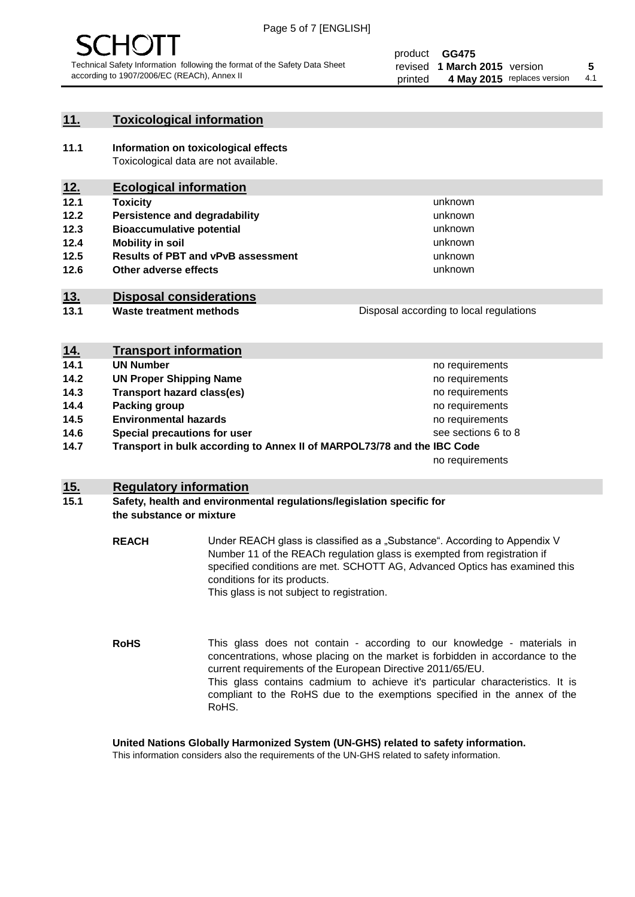

#### **11. Toxicological information**

**11.1 Information on toxicological effects** Toxicological data are not available.

#### **12. Ecological information**

- **12.1 Toxicity**
- **12.2 Persistence and degradability**
- **12.3 Bioaccumulative potential**
- **12.4 Mobility in soil**
- **12.5 Results of PBT and vPvB assessment**
- **12.6 Other adverse effects**

#### **13. Disposal considerations**

**13.1 Waste treatment methods**

| 14. | <b>Transport information</b> |
|-----|------------------------------|

- **14.1 <b>UN Number 14.1 UN** Number
- **14.2 CUN Proper Shipping Name no requirements no requirements 14.3 Transport hazard class(es) 14.3 no requirements 14.4 Packing group no requirements no requirements 14.5 Environmental hazards** no requirements
- **14.6 Special precautions for user**
- **14.7 Transport in bulk according to Annex II of MARPOL73/78 and the IBC Code**

no requirements

unknown unknown unknown unknown

unknown unknown

Disposal according to local regulations

see sections 6 to 8

#### **15. Regulatory information**

#### **15.1 Safety, health and environmental regulations/legislation specific for the substance or mixture**

**REACH** Under REACH glass is classified as a "Substance". According to Appendix V Number 11 of the REACh regulation glass is exempted from registration if specified conditions are met. SCHOTT AG, Advanced Optics has examined this conditions for its products. This glass is not subject to registration.

**RoHS** This glass does not contain - according to our knowledge - materials in concentrations, whose placing on the market is forbidden in accordance to the current requirements of the European Directive 2011/65/EU. This glass contains cadmium to achieve it's particular characteristics. It is compliant to the RoHS due to the exemptions specified in the annex of the RoHS.

**United Nations Globally Harmonized System (UN-GHS) related to safety information.**

This information considers also the requirements of the UN-GHS related to safety information.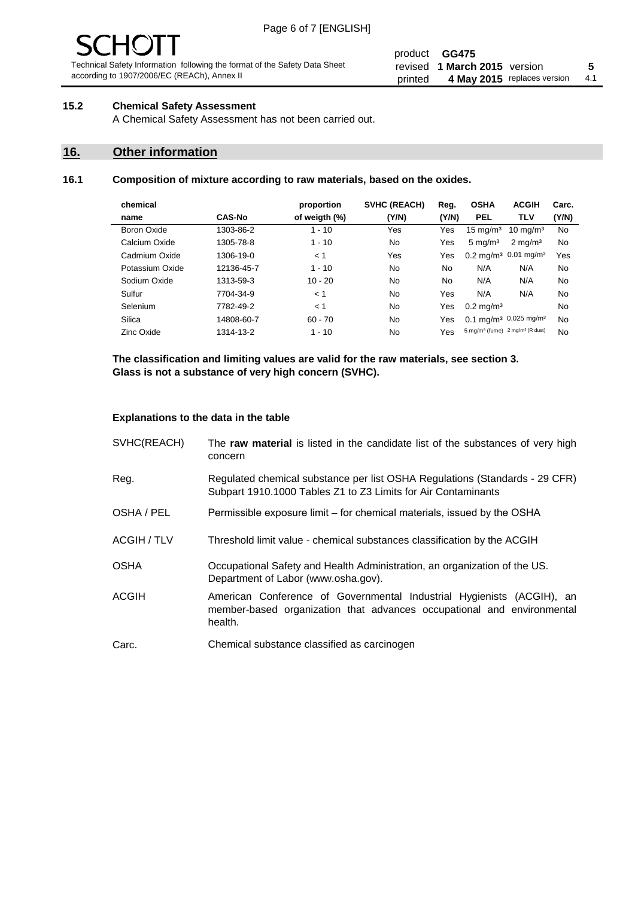# - JF

Technical Safety Information following the format of the Safety Data Sheet according to 1907/2006/EC (REACh), Annex II

#### product **GG475** revised **5 1 March 2015** version printed 4 May 2015 replaces version 4.1

#### **15.2 Chemical Safety Assessment**

A Chemical Safety Assessment has not been carried out.

#### **16. Other information**

#### **16.1 Composition of mixture according to raw materials, based on the oxides.**

| chemical        |               | proportion    | SVHC (REACH)   | Reg.  | <b>OSHA</b>                                             | <b>ACGIH</b>                                  | Carc. |
|-----------------|---------------|---------------|----------------|-------|---------------------------------------------------------|-----------------------------------------------|-------|
| name            | <b>CAS-No</b> | of weigth (%) | (Y/N)          | (Y/N) | <b>PEL</b>                                              | <b>TLV</b>                                    | (Y/N) |
| Boron Oxide     | 1303-86-2     | $1 - 10$      | Yes            | Yes   | $15 \text{ mg/m}^3$                                     | $10 \text{ ma/m}^3$                           | No    |
| Calcium Oxide   | 1305-78-8     | $1 - 10$      | No             | Yes   | $5 \text{ mg/m}^3$                                      | $2 \text{ mg/m}^3$                            | No    |
| Cadmium Oxide   | 1306-19-0     | < 1           | Yes            | Yes   |                                                         | $0.2 \text{ mg/m}^3$ 0.01 mg/m <sup>3</sup>   | Yes   |
| Potassium Oxide | 12136-45-7    | $1 - 10$      | No             | No    | N/A                                                     | N/A                                           | No    |
| Sodium Oxide    | 1313-59-3     | $10 - 20$     | No             | No.   | N/A                                                     | N/A                                           | No    |
| Sulfur          | 7704-34-9     | < 1           | No             | Yes   | N/A                                                     | N/A                                           | No    |
| Selenium        | 7782-49-2     | < 1           | No             | Yes   | $0.2 \,\mathrm{mq/m^3}$                                 |                                               | No    |
| Silica          | 14808-60-7    | $60 - 70$     | N <sub>0</sub> | Yes   |                                                         | 0.1 mg/m <sup>3</sup> 0.025 mg/m <sup>3</sup> | No    |
| Zinc Oxide      | 1314-13-2     | $1 - 10$      | No             | Yes   | 5 mg/m <sup>3</sup> (fume) 2 mg/m <sup>3</sup> (R dust) |                                               | No    |

**The classification and limiting values are valid for the raw materials, see section 3. Glass is not a substance of very high concern (SVHC).**

#### **Explanations to the data in the table**

| SVHC(REACH)        | The raw material is listed in the candidate list of the substances of very high<br>concern                                                                 |
|--------------------|------------------------------------------------------------------------------------------------------------------------------------------------------------|
| Reg.               | Regulated chemical substance per list OSHA Regulations (Standards - 29 CFR)<br>Subpart 1910.1000 Tables Z1 to Z3 Limits for Air Contaminants               |
| OSHA / PEL         | Permissible exposure limit – for chemical materials, issued by the OSHA                                                                                    |
| <b>ACGIH / TLV</b> | Threshold limit value - chemical substances classification by the ACGIH                                                                                    |
| <b>OSHA</b>        | Occupational Safety and Health Administration, an organization of the US.<br>Department of Labor (www.osha.gov).                                           |
| ACGIH              | American Conference of Governmental Industrial Hygienists (ACGIH), an<br>member-based organization that advances occupational and environmental<br>health. |
| Carc.              | Chemical substance classified as carcinogen                                                                                                                |